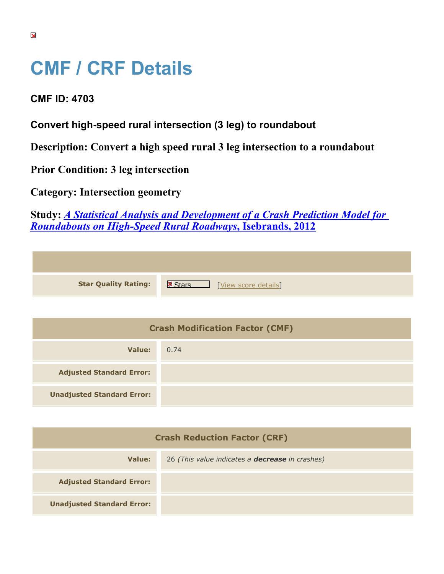## **CMF / CRF Details**

**CMF ID: 4703**

**Convert high-speed rural intersection (3 leg) to roundabout**

**Description: Convert a high speed rural 3 leg intersection to a roundabout**

**Prior Condition: 3 leg intersection**

**Category: Intersection geometry**

**Study:** *[A Statistical Analysis and Development of a Crash Prediction Model for](https://cmfclearinghouse.org/study_detail.cfm?stid=304) [Roundabouts on High-Speed Rural Roadways](https://cmfclearinghouse.org/study_detail.cfm?stid=304)***[, Isebrands, 2012](https://cmfclearinghouse.org/study_detail.cfm?stid=304)**

| <b>Star Quality Rating:</b> | X<br>[View score details] |
|-----------------------------|---------------------------|

| <b>Crash Modification Factor (CMF)</b> |      |
|----------------------------------------|------|
| Value:                                 | 0.74 |
| <b>Adjusted Standard Error:</b>        |      |
| <b>Unadjusted Standard Error:</b>      |      |

| <b>Crash Reduction Factor (CRF)</b> |                                                        |
|-------------------------------------|--------------------------------------------------------|
| Value:                              | 26 (This value indicates a <b>decrease</b> in crashes) |
| <b>Adjusted Standard Error:</b>     |                                                        |
| <b>Unadjusted Standard Error:</b>   |                                                        |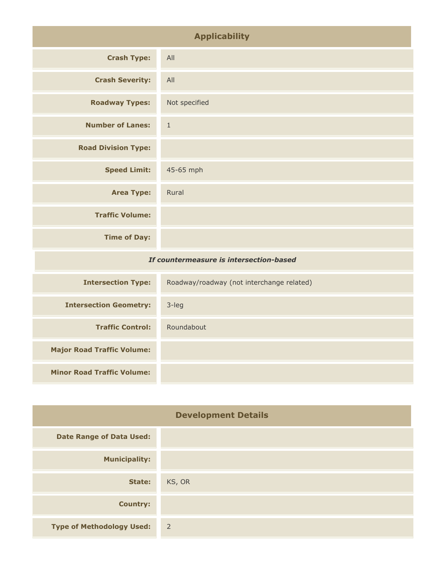| <b>Applicability</b>                    |               |
|-----------------------------------------|---------------|
| <b>Crash Type:</b>                      | All           |
| <b>Crash Severity:</b>                  | All           |
| <b>Roadway Types:</b>                   | Not specified |
| <b>Number of Lanes:</b>                 | $1\,$         |
| <b>Road Division Type:</b>              |               |
| <b>Speed Limit:</b>                     | 45-65 mph     |
| <b>Area Type:</b>                       | Rural         |
| <b>Traffic Volume:</b>                  |               |
| <b>Time of Day:</b>                     |               |
| If countermeasure is intersection-based |               |
|                                         |               |

| <b>Intersection Type:</b>         | Roadway/roadway (not interchange related) |
|-----------------------------------|-------------------------------------------|
| <b>Intersection Geometry:</b>     | $3$ -leg                                  |
| <b>Traffic Control:</b>           | Roundabout                                |
| <b>Major Road Traffic Volume:</b> |                                           |
| <b>Minor Road Traffic Volume:</b> |                                           |

| <b>Development Details</b>       |                |
|----------------------------------|----------------|
| <b>Date Range of Data Used:</b>  |                |
| <b>Municipality:</b>             |                |
| State:                           | KS, OR         |
| <b>Country:</b>                  |                |
| <b>Type of Methodology Used:</b> | $\overline{2}$ |